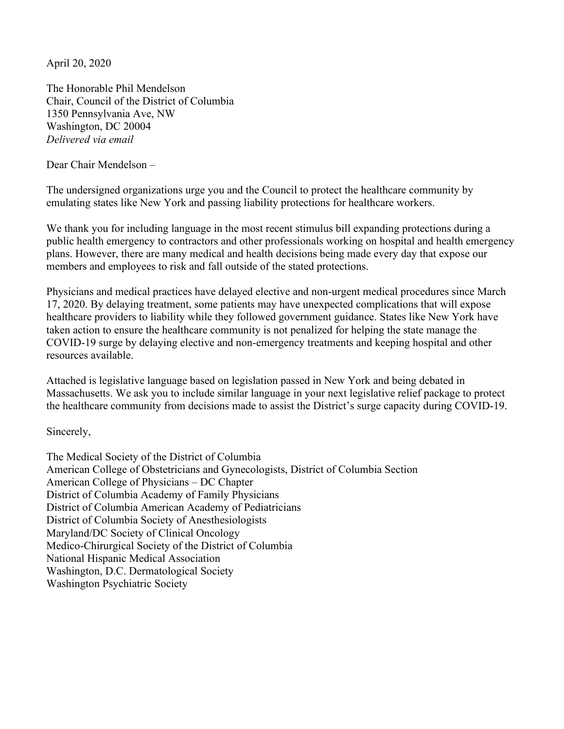April 20, 2020

The Honorable Phil Mendelson Chair, Council of the District of Columbia 1350 Pennsylvania Ave, NW Washington, DC 20004 *Delivered via email*

Dear Chair Mendelson –

The undersigned organizations urge you and the Council to protect the healthcare community by emulating states like New York and passing liability protections for healthcare workers.

We thank you for including language in the most recent stimulus bill expanding protections during a public health emergency to contractors and other professionals working on hospital and health emergency plans. However, there are many medical and health decisions being made every day that expose our members and employees to risk and fall outside of the stated protections.

Physicians and medical practices have delayed elective and non-urgent medical procedures since March 17, 2020. By delaying treatment, some patients may have unexpected complications that will expose healthcare providers to liability while they followed government guidance. States like New York have taken action to ensure the healthcare community is not penalized for helping the state manage the COVID-19 surge by delaying elective and non-emergency treatments and keeping hospital and other resources available.

Attached is legislative language based on legislation passed in New York and being debated in Massachusetts. We ask you to include similar language in your next legislative relief package to protect the healthcare community from decisions made to assist the District's surge capacity during COVID-19.

Sincerely,

The Medical Society of the District of Columbia American College of Obstetricians and Gynecologists, District of Columbia Section American College of Physicians – DC Chapter District of Columbia Academy of Family Physicians District of Columbia American Academy of Pediatricians District of Columbia Society of Anesthesiologists Maryland/DC Society of Clinical Oncology Medico-Chirurgical Society of the District of Columbia National Hispanic Medical Association Washington, D.C. Dermatological Society Washington Psychiatric Society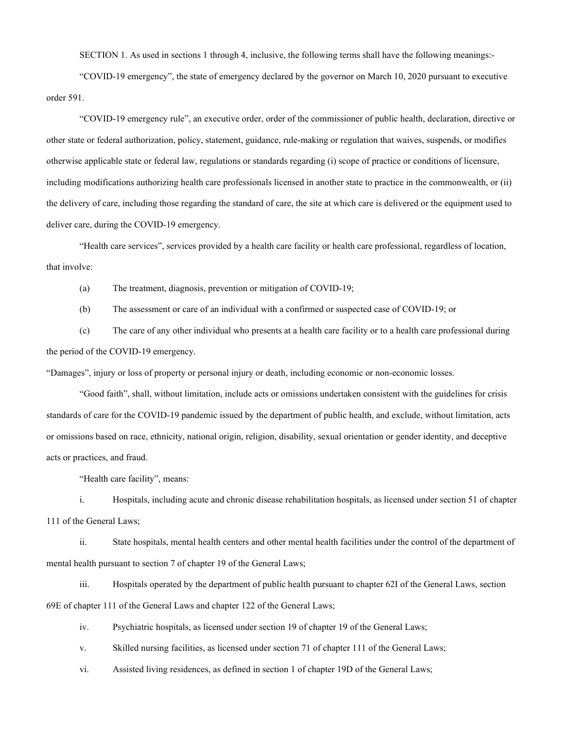SECTION 1. As used in sections 1 through 4, inclusive, the following terms shall have the following meanings:-

"COVID-19 emergency", the state of emergency declared by the governor on March 10, 2020 pursuant to executive order 591.

"COVID-19 emergency rule", an executive order, order of the commissioner of public health, declaration, directive or other state or federal authorization, policy, statement, guidance, rule-making or regulation that waives, suspends, or modifies otherwise applicable state or federal law, regulations or standards regarding (i) scope of practice or conditions of licensure, including modifications authorizing health care professionals licensed in another state to practice in the commonwealth, or (ii) the delivery of care, including those regarding the standard of care, the site at which care is delivered or the equipment used to deliver care, during the COVID-19 emergency.

"Health care services", services provided by a health care facility or health care professional, regardless of location, that involve:

(a) The treatment, diagnosis, prevention or mitigation of COVID-19;

(b) The assessment or care of an individual with a confirmed or suspected case of COVID-19; or

(c) The care of any other individual who presents at a health care facility or to a health care professional during the period of the COVID-19 emergency.

"Damages", injury or loss of property or personal injury or death, including economic or non-economic losses.

"Good faith", shall, without limitation, include acts or omissions undertaken consistent with the guidelines for crisis standards of care for the COVID-19 pandemic issued by the department of public health, and exclude, without limitation, acts or omissions based on race, ethnicity, national origin, religion, disability, sexual orientation or gender identity, and deceptive acts or practices, and fraud.

"Health care facility", means:

i. Hospitals, including acute and chronic disease rehabilitation hospitals, as licensed under section 51 of chapter 111 of the General Laws;

ii. State hospitals, mental health centers and other mental health facilities under the control of the department of mental health pursuant to section 7 of chapter 19 of the General Laws;

iii. Hospitals operated by the department of public health pursuant to chapter 62I of the General Laws, section 69E of chapter 111 of the General Laws and chapter 122 of the General Laws;

iv. Psychiatric hospitals, as licensed under section 19 of chapter 19 of the General Laws;

v. Skilled nursing facilities, as licensed under section 71 of chapter 111 of the General Laws;

vi. Assisted living residences, as defined in section 1 of chapter 19D of the General Laws;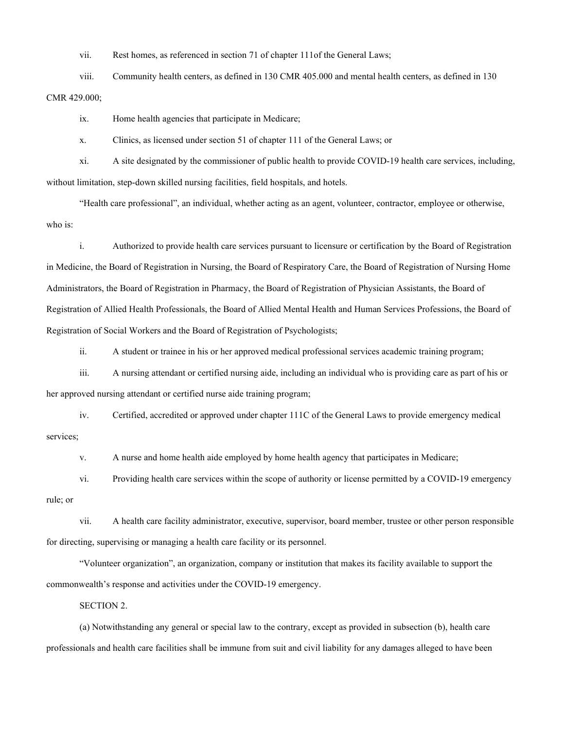vii. Rest homes, as referenced in section 71 of chapter 111of the General Laws;

viii. Community health centers, as defined in 130 CMR 405.000 and mental health centers, as defined in 130 CMR 429.000;

ix. Home health agencies that participate in Medicare;

x. Clinics, as licensed under section 51 of chapter 111 of the General Laws; or

xi. A site designated by the commissioner of public health to provide COVID-19 health care services, including, without limitation, step-down skilled nursing facilities, field hospitals, and hotels.

"Health care professional", an individual, whether acting as an agent, volunteer, contractor, employee or otherwise, who is:

i. Authorized to provide health care services pursuant to licensure or certification by the Board of Registration in Medicine, the Board of Registration in Nursing, the Board of Respiratory Care, the Board of Registration of Nursing Home Administrators, the Board of Registration in Pharmacy, the Board of Registration of Physician Assistants, the Board of Registration of Allied Health Professionals, the Board of Allied Mental Health and Human Services Professions, the Board of Registration of Social Workers and the Board of Registration of Psychologists;

ii. A student or trainee in his or her approved medical professional services academic training program;

iii. A nursing attendant or certified nursing aide, including an individual who is providing care as part of his or

her approved nursing attendant or certified nurse aide training program;

iv. Certified, accredited or approved under chapter 111C of the General Laws to provide emergency medical services;

v. A nurse and home health aide employed by home health agency that participates in Medicare;

vi. Providing health care services within the scope of authority or license permitted by a COVID-19 emergency rule; or

vii. A health care facility administrator, executive, supervisor, board member, trustee or other person responsible for directing, supervising or managing a health care facility or its personnel.

"Volunteer organization", an organization, company or institution that makes its facility available to support the commonwealth's response and activities under the COVID-19 emergency.

SECTION 2.

(a) Notwithstanding any general or special law to the contrary, except as provided in subsection (b), health care professionals and health care facilities shall be immune from suit and civil liability for any damages alleged to have been